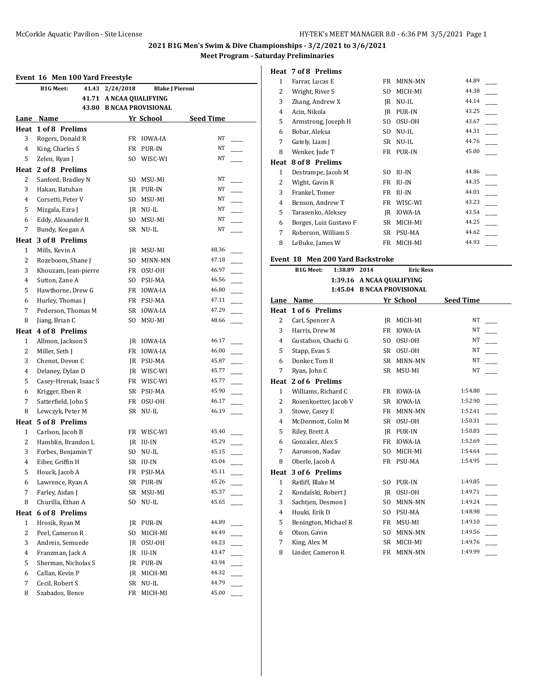# **2021 B1G Men's Swim & Dive Championships - 3/2/2021 to 3/6/2021**

**Meet Program - Saturday Preliminaries**

#### **Event 16 Men 100 Yard Freestyle**

|                | Event 16 Men 100 Yard Freestyle |                          |                        |                  |        |
|----------------|---------------------------------|--------------------------|------------------------|------------------|--------|
|                | 41.43<br><b>B1G Meet:</b>       | 2/24/2018                | <b>Blake J Pieroni</b> |                  |        |
|                | 41.71                           | A NCAA QUALIFYING        |                        |                  |        |
|                |                                 | 43.80 B NCAA PROVISIONAL |                        |                  |        |
| Lane           | Name                            |                          | Yr School              | <b>Seed Time</b> |        |
|                | Heat 1 of 8 Prelims             |                          |                        |                  |        |
| 3              | Rogers, Donald R                |                          | FR IOWA-IA             | NT               |        |
| 4              | King, Charles S                 |                          | FR PUR-IN              | NT               |        |
| 5              | Zelen, Ryan J                   |                          | SO WISC-WI             | NT               |        |
|                | Heat 2 of 8 Prelims             |                          |                        |                  |        |
| 2              | Sanford, Bradley N              |                          | SO MSU-MI              | NT               |        |
| 3              | Hakan, Batuhan                  |                          | IR PUR-IN              | NT               |        |
| 4              | Corsetti, Peter V               |                          | SO MSU-MI              | NT               |        |
| 5              | Mizgala, Ezra J                 |                          | JR NU-IL               | NT               |        |
| 6              | Eddy, Alexander R               |                          | SO MSU-MI              | NT               |        |
| 7              | Bundy, Keegan A                 |                          | SR NU-IL               | NT               |        |
|                | Heat 3 of 8 Prelims             |                          |                        |                  |        |
| 1              | Mills, Kevin A                  |                          | JR MSU-MI              | 48.36            |        |
| $\overline{2}$ | Rozeboom, Shane J               | SO -                     | MINN-MN                | 47.18            |        |
| 3              | Khouzam, Jean-pierre            |                          | FR OSU-OH              | 46.97            |        |
| 4              | Sutton, Zane A                  |                          | SO PSU-MA              | 46.56            |        |
| 5              | Hawthorne, Drew G               |                          | FR IOWA-IA             | 46.80            |        |
| 6              | Hurley, Thomas J                |                          | FR PSU-MA              | 47.11            |        |
| 7              | Pederson, Thomas M              |                          | SR IOWA-IA             | 47.29            |        |
| 8              | Jiang, Brian C                  |                          | SO MSU-MI              | 48.66            |        |
|                | Heat 4 of 8 Prelims             |                          |                        |                  |        |
| $\mathbf{1}$   | Allmon, Jackson S               |                          | JR IOWA-IA             | 46.17            |        |
| $\overline{2}$ | Miller, Seth J                  |                          | FR IOWA-IA             | 46.00            |        |
| 3              | Chenot, Devon C                 |                          | JR PSU-MA              | 45.87            | $\sim$ |
| 4              | Delaney, Dylan D                |                          | JR WISC-WI             | 45.77            | $\sim$ |
| 5              | Casey-Hrenak, Isaac S           |                          | FR WISC-WI             | 45.77            |        |
| 6              | Krigger, Eben R                 |                          | SR PSU-MA              | 45.90            |        |
| 7              | Satterfield, John S             |                          | FR OSU-OH              | 46.17            |        |
| 8              | Lewczyk, Peter M                |                          | SR NU-IL               | 46.19            |        |
|                | Heat 5 of 8 Prelims             |                          |                        |                  |        |
| $\mathbf{1}$   | Carlson, Jacob B                |                          | FR WISC-WI             | 45.40            |        |
| $\overline{2}$ | Hamblin, Brandon L              |                          | JR IU-IN               | 45.29            |        |
| 3              | Forbes, Benjamin T              |                          | SO NU-IL               | 45.15            |        |
| $\overline{4}$ | Eiber, Griffin H                |                          | SR IU-IN               | 45.04            |        |
| 5              | Houck, Jacob A                  | FR                       | PSU-MA                 | 45.11            |        |
| 6              | Lawrence, Ryan A                | SR                       | PUR-IN                 | 45.26            |        |
| 7              | Farley, Aidan J                 | SR                       | MSU-MI                 | 45.37            |        |
| 8              | Churilla, Ethan A               | SO.                      | NU-IL                  | 45.65            |        |
| Heat           | 6 of 8 Prelims                  |                          |                        |                  |        |
| 1              | Hrosik, Ryan M                  | JR.                      | PUR-IN                 | 44.89            |        |
| 2              | Peel, Cameron R                 | SO                       | MICH-MI                | 44.49            |        |
| 3              | Andreis, Semuede                | JR                       | OSU-OH                 | 44.23            |        |
| 4              | Franzman, Jack A                |                          | JR IU-IN               | 43.47            |        |
| 5              | Sherman, Nicholas S             |                          | JR PUR-IN              | 43.94            |        |
| 6              | Callan, Kevin P                 | JR                       | MICH-MI                | 44.32            |        |
| 7              | Cecil, Robert S                 | SR                       | NU-IL                  | 44.79            |        |
| 8              | Szabados, Bence                 | FR                       | MICH-MI                | 45.00            |        |
|                |                                 |                          |                        |                  |        |

#### **Heat 7 of 8 Prelims**

| 1            | Farrar, Lucas E        | FR  | MINN-MN        | 44.89 |
|--------------|------------------------|-----|----------------|-------|
| 2            | Wright, River S        | SO. | MICH-MI        | 44.38 |
| 3            | Zhang, Andrew X        | IR  | NU-IL          | 44.14 |
| 4            | Acin, Nikola           | IR  | PUR-IN         | 43.25 |
| 5            | Armstrong, Joseph H    | SO. | OSU-OH         | 43.67 |
| 6            | Bobar, Aleksa          | SO  | NU-IL          | 44.31 |
| 7            | Gately, Liam J         | SR  | NU-IL          | 44.76 |
| 8            | Wenker, Jude T         | FR  | PUR-IN         | 45.00 |
| Heat         | 8 of 8 Prelims         |     |                |       |
| $\mathbf{1}$ | Destrampe, Jacob M     | SO. | IU-IN          | 44.86 |
| 2            | Wight, Gavin R         | FR  | IU-IN          | 44.35 |
| 3            | Frankel, Tomer         | FR  | IU-IN          | 44.01 |
| 4            | Benson, Andrew T       | FR  | WISC-WI        | 43.23 |
| 5            | Tarasenko, Aleksey     | IR  | <b>IOWA-IA</b> | 43.54 |
| 6            | Borges, Luiz Gustavo F | SR  | MICH-MI        | 44.25 |
| 7            | Roberson, William S    | SR  | PSU-MA         | 44.62 |
| 8            | LeBuke, James W        | FR  | MICH-MI        | 44.93 |

## **Event 18 Men 200 Yard Backstroke**

|                | <b>B1G Meet:</b><br>1:38.89 | 2014                       | <b>Eric Ress</b>          |                  |  |
|----------------|-----------------------------|----------------------------|---------------------------|------------------|--|
|                |                             |                            | 1:39.16 A NCAA QUALIFYING |                  |  |
|                |                             | 1:45.04 B NCAA PROVISIONAL |                           |                  |  |
| Lane           | Name                        |                            | Yr School                 | <b>Seed Time</b> |  |
| Heat           | 1 of 6 Prelims              |                            |                           |                  |  |
| 2              | Carl, Spencer A             | <b>IR</b>                  | MICH-MI                   | NT               |  |
| 3              | Harris, Drew M              | <b>FR</b>                  | <b>IOWA-IA</b>            | <b>NT</b>        |  |
| $\overline{4}$ | Gustafson, Chachi G         | S <sub>O</sub>             | OSU-OH                    | <b>NT</b>        |  |
| 5              | Stapp, Evan S               | <b>SR</b>                  | OSU-OH                    | NT               |  |
| 6              | Donker, Tom B               | <b>SR</b>                  | MINN-MN                   | <b>NT</b>        |  |
| 7              | Ryan, John C                | SR                         | MSU-MI                    | <b>NT</b>        |  |
| Heat           | 2 of 6 Prelims              |                            |                           |                  |  |
| $\mathbf{1}$   | Williams, Richard C         | <b>FR</b>                  | <b>IOWA-IA</b>            | 1:54.80          |  |
| 2              | Rosenkoetter, Jacob V       | SR                         | <b>IOWA-IA</b>            | 1:52.90          |  |
| 3              | Stowe, Casey E              | <b>FR</b>                  | MINN-MN                   | 1:52.41          |  |
| 4              | McDermott, Colin M          | SR                         | OSU-OH                    | 1:50.31          |  |
| 5              | Riley, Brett A              | IR                         | PUR-IN                    | 1:50.83          |  |
| 6              | Gonzalez, Alex S            | <b>FR</b>                  | <b>IOWA-IA</b>            | 1:52.69          |  |
| 7              | Aaronson, Nadav             | S <sub>O</sub>             | MICH-MI                   | 1:54.64          |  |
| 8              | Oberle, Jacob A             | <b>FR</b>                  | <b>PSU-MA</b>             | 1:54.95          |  |
| Heat           | 3 of 6 Prelims              |                            |                           |                  |  |
| $\mathbf{1}$   | Ratliff, Blake M            | S <sub>O</sub>             | PUR-IN                    | 1:49.85          |  |
| 2              | Kondalski, Robert J         | <b>IR</b>                  | OSU-OH                    | 1:49.71          |  |
| 3              | Sachtjen, Desmon J          | S <sub>O</sub>             | MINN-MN                   | 1:49.24          |  |
| $\overline{4}$ | Huuki, Erik D               | S <sub>O</sub>             | PSU-MA                    | 1:48.98          |  |
| 5              | Benington, Michael R        | <b>FR</b>                  | MSU-MI                    | 1:49.10          |  |
| 6              | Olson, Gavin                | S <sub>O</sub>             | MINN-MN                   | 1:49.56          |  |
| 7              | King, Alex M                | <b>SR</b>                  | MICH-MI                   | 1:49.76          |  |
| 8              | Linder, Cameron R           | FR                         | MINN-MN                   | 1:49.99          |  |
|                |                             |                            |                           |                  |  |